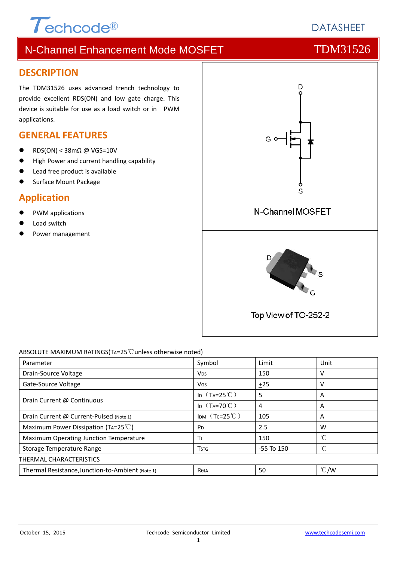### **DESCRIPTION**

The TDM31526 uses advanced trench technology to provide excellent RDS(ON) and low gate charge. This device is suitable for use as a load switch or in PWM applications.

### **GENERAL FEATURES**

RDS(ON) < 38mΩ @ VGS=10V

 $\tau$ echcode®

- High Power and current handling capability
- Lead free product is available
- Surface Mount Package

# **Application**

- PWM applications
- Load switch
- Power management



### ABSOLUTE MAXIMUM RATINGS(TA=25℃unless otherwise noted)

| Parameter                                        | Symbol                  | Limit        | Unit          |  |  |  |
|--------------------------------------------------|-------------------------|--------------|---------------|--|--|--|
| Drain-Source Voltage                             | <b>V<sub>DS</sub></b>   | 150          | ν             |  |  |  |
| Gate-Source Voltage                              | <b>V<sub>GS</sub></b>   | ±25          | V             |  |  |  |
| Drain Current @ Continuous                       | ID $(T_A=25^{\circ}C)$  | 5            | A             |  |  |  |
|                                                  | ID $(T_A=70^{\circ}C)$  | 4            | A             |  |  |  |
| Drain Current @ Current-Pulsed (Note 1)          | IDM $(Tc=25^{\circ}C)$  | 105          | A             |  |  |  |
| Maximum Power Dissipation (TA=25 $^{\circ}$ C)   | P <sub>D</sub>          | 2.5          | W             |  |  |  |
| Maximum Operating Junction Temperature           | Τı                      | 150          | °C            |  |  |  |
| Storage Temperature Range                        | <b>T</b> <sub>STG</sub> | $-55$ To 150 | °C            |  |  |  |
| THERMAL CHARACTERISTICS                          |                         |              |               |  |  |  |
| Thermal Resistance, Junction-to-Ambient (Note 1) | Reja                    | 50           | $\degree$ C/W |  |  |  |

# **DATASHEET**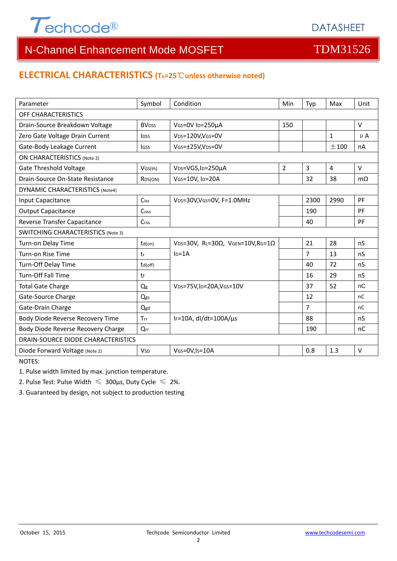

### **ELECTRICAL CHARACTERISTICS (TA=25**℃**unless otherwise noted)**

| Parameter                                 | Symbol                   | Condition                                                     | <b>Min</b>     | Typ            | Max            | Unit      |  |  |  |
|-------------------------------------------|--------------------------|---------------------------------------------------------------|----------------|----------------|----------------|-----------|--|--|--|
| OFF CHARACTERISTICS                       |                          |                                                               |                |                |                |           |  |  |  |
| Drain-Source Breakdown Voltage            | <b>BV</b> <sub>DSS</sub> | VGS=0V ID=250µA                                               | 150            |                |                | $\vee$    |  |  |  |
| Zero Gate Voltage Drain Current           | <b>l</b> <sub>pss</sub>  | V <sub>DS</sub> =120V,V <sub>GS</sub> =0V                     |                |                | $\mathbf{1}$   | $\mu$ A   |  |  |  |
| Gate-Body Leakage Current                 | lgss                     | VGS=±25V,VDS=0V                                               |                |                | $+100$         | nA        |  |  |  |
| <b>ON CHARACTERISTICS (Note 2)</b>        |                          |                                                               |                |                |                |           |  |  |  |
| <b>Gate Threshold Voltage</b>             | VGS(th)                  | V <sub>DS</sub> =VGS, I <sub>D</sub> =250µA                   | $\overline{2}$ | $\overline{3}$ | $\overline{4}$ | $\vee$    |  |  |  |
| Drain-Source On-State Resistance          | R <sub>DS</sub> (ON)     | VGS=10V, ID=20A                                               |                | 32             | 38             | $m\Omega$ |  |  |  |
| <b>DYNAMIC CHARACTERISTICS (Note4)</b>    |                          |                                                               |                |                |                |           |  |  |  |
| Input Capacitance                         | Ciss                     | VDS=30V, VGS=0V, F=1.0MHz                                     |                | 2300           | 2990           | PF        |  |  |  |
| <b>Output Capacitance</b>                 | Coss                     |                                                               |                | 190            |                | PF        |  |  |  |
| Reverse Transfer Capacitance              | Crss                     |                                                               |                | 40             |                | PF        |  |  |  |
| <b>SWITCHING CHARACTERISTICS (Note 3)</b> |                          |                                                               |                |                |                |           |  |  |  |
| Turn-on Delay Time                        | $td($ on $)$             | VDS=30V, RL=30 $\Omega$ , VGEN=10V, RG=1 $\Omega$             |                | 21             | 28             | nS        |  |  |  |
| Turn-on Rise Time                         | tr                       | $In=1A$                                                       |                | $\overline{7}$ | 13             | nS        |  |  |  |
| Turn-Off Delay Time                       | td(off)                  |                                                               |                | 40             | 72             | nS        |  |  |  |
| <b>Turn-Off Fall Time</b>                 | tf                       |                                                               |                | 16             | 29             | nS        |  |  |  |
| <b>Total Gate Charge</b>                  | Q <sub>g</sub>           | V <sub>DS</sub> =75V,I <sub>D</sub> =20A,V <sub>GS</sub> =10V |                | 37             | 52             | nC        |  |  |  |
| Gate-Source Charge                        | Qgs                      |                                                               |                | 12             |                | nC        |  |  |  |
| Gate-Drain Charge                         | Qgd                      |                                                               |                | $\overline{7}$ |                | nC        |  |  |  |
| Body Diode Reverse Recovery Time          | Trr                      | IF=10A, $dl/dt=100A/\mu s$                                    |                | 88             |                | nS        |  |  |  |
| Body Diode Reverse Recovery Charge        | Qrr                      |                                                               |                | 190            |                | nC        |  |  |  |
| DRAIN-SOURCE DIODE CHARACTERISTICS        |                          |                                                               |                |                |                |           |  |  |  |
| Diode Forward Voltage (Note 2)            | <b>V<sub>SD</sub></b>    | VGS=0V,Is=10A                                                 |                | 0.8            | 1.3            | $\vee$    |  |  |  |

NOTES:

1. Pulse width limited by max. junction temperature.

2. Pulse Test: Pulse Width  $\leq 300$ μs, Duty Cycle  $\leq 2\%$ .

3. Guaranteed by design, not subject to production testing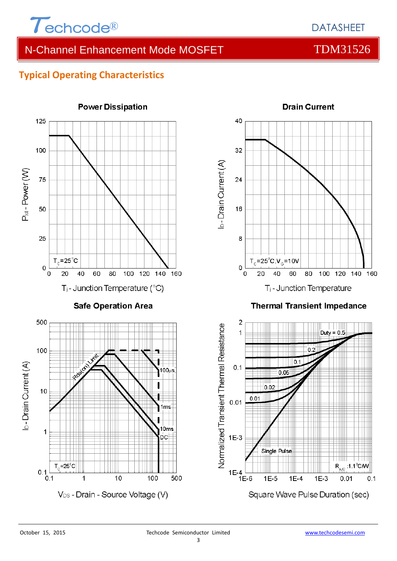

# **Typical Operating Characteristics**



**Power Dissipation** 



### **Thermal Transient Impedance**

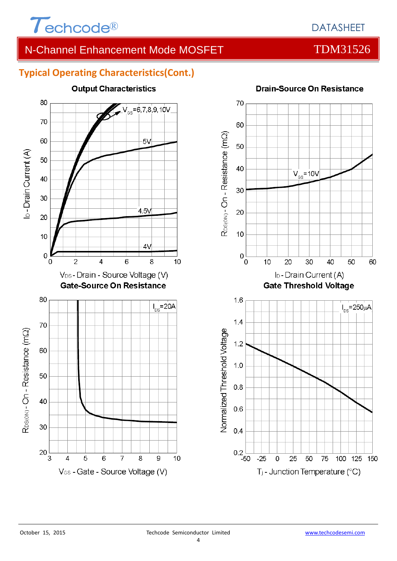

# DATASHEET

# N-Channel Enhancement Mode MOSFET TOM31526

# **Typical Operating Characteristics(Cont.)**





### **Drain-Source On Resistance**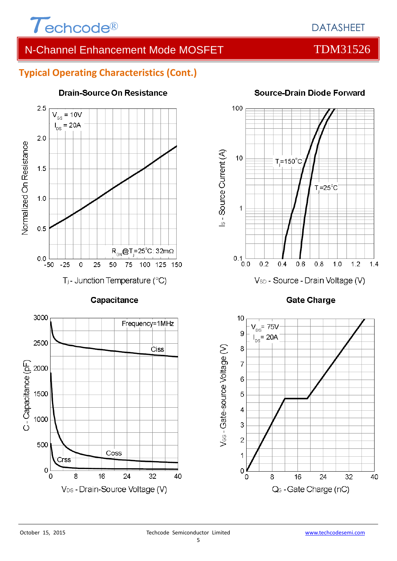

### **Typical Operating Characteristics (Cont.)**



### **Drain-Source On Resistance**



Coss

16



100

### **Source-Drain Diode Forward**





3000

2500

C-Capacitance (pF)<br>C-Capacitance 1500

500

 $\circ$ 

0

Drss

8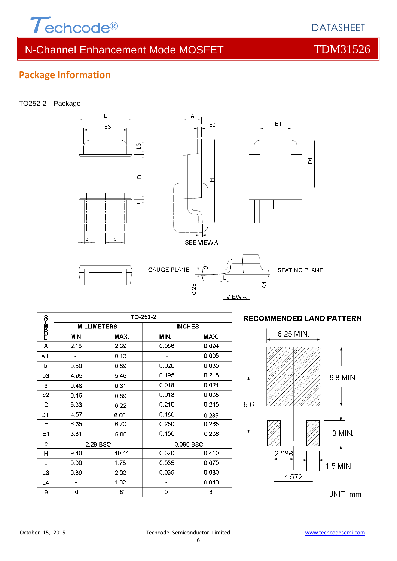

**DATASHEFT** 

## **Package Information**

### TO252-2 Package



### TO-252-2 ాయణా⊰ం **MILLIMETERS INCHES** MIN. MAX. MIN. MAX.  $2.39$  $\overline{A}$  $2.18$ 0.086 0.094  $\overline{\phantom{a}}$  $0.005$  $\mathbb{Z}$  $0.13$  $A<sub>1</sub>$  $0.50$  $0.020$ 0.035  $\mathbf b$ 0.89  $0.195$  $0.215$ 4.95 5.46  $b3$  $0.018$  $0.024$  $0.46$  $0.61$ c  $0.018$ 0.035  $c2$ 0.46 0.89  $0.210$  $0.245$ D 5.33 6.22 4.57 D<sub>1</sub>  $0.180$ 6.00 0.236  $0.250$ 6.35  $E$ 6.73 0.265  $E<sub>1</sub>$  $3.81$ 6.00  $0.150$ 0.236 e 2.29 BSC 0.090 BSC 9.40 10.41 0.370  $0.410$  $H$  $\overline{L}$  $0.90$  $1.78$  $0.035$  $0.070$ 2.03  $0.035$  $0.080$ L<sub>3</sub> 0.89  $0.040$  $L<sub>4</sub>$  $\overline{a}$ 1.02  $\overline{a}$  $8^{\circ}$  $\boldsymbol{\theta}$  $\mathbf{O}^{\circ}$  $\mathbf{0}^\circ$  $8^\circ$